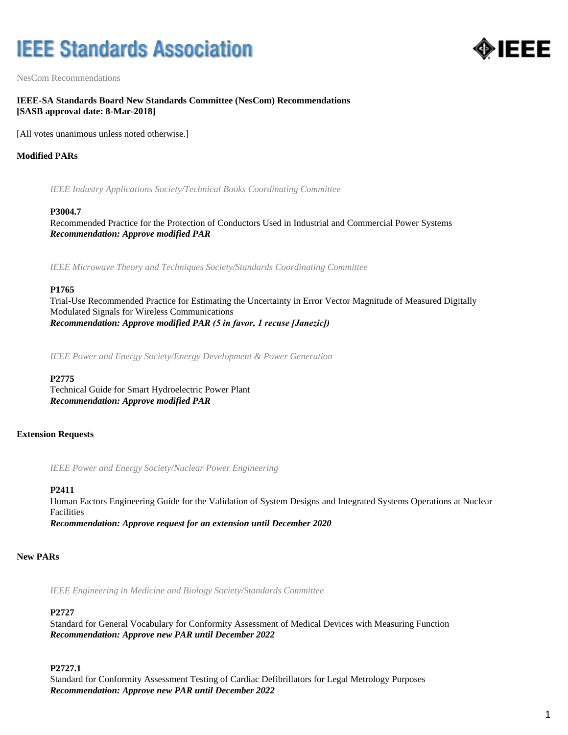# **IEEE Standards Association**



NesCom Recommendations

# **IEEE-SA Standards Board New Standards Committee (NesCom) Recommendations [SASB approval date: 8-Mar-2018]**

[All votes unanimous unless noted otherwise.]

# **Modified PARs**

*IEEE Industry Applications Society/Technical Books Coordinating Committee*

#### **P3004.7**

Recommended Practice for the Protection of Conductors Used in Industrial and Commercial Power Systems *Recommendation: Approve modified PAR*

*IEEE Microwave Theory and Techniques Society/Standards Coordinating Committee*

## **P1765**

Trial-Use Recommended Practice for Estimating the Uncertainty in Error Vector Magnitude of Measured Digitally Modulated Signals for Wireless Communications *Recommendation: Approve modified PAR (5 in favor, 1 recuse [Janezic])*

*IEEE Power and Energy Society/Energy Development & Power Generation*

#### **P2775**

Technical Guide for Smart Hydroelectric Power Plant *Recommendation: Approve modified PAR*

## **Extension Requests**

*IEEE Power and Energy Society/Nuclear Power Engineering*

#### **P2411**

Human Factors Engineering Guide for the Validation of System Designs and Integrated Systems Operations at Nuclear Facilities

*Recommendation: Approve request for an extension until December 2020*

## **New PARs**

*IEEE Engineering in Medicine and Biology Society/Standards Committee*

#### **P2727**

Standard for General Vocabulary for Conformity Assessment of Medical Devices with Measuring Function *Recommendation: Approve new PAR until December 2022*

#### **P2727.1**

Standard for Conformity Assessment Testing of Cardiac Defibrillators for Legal Metrology Purposes *Recommendation: Approve new PAR until December 2022*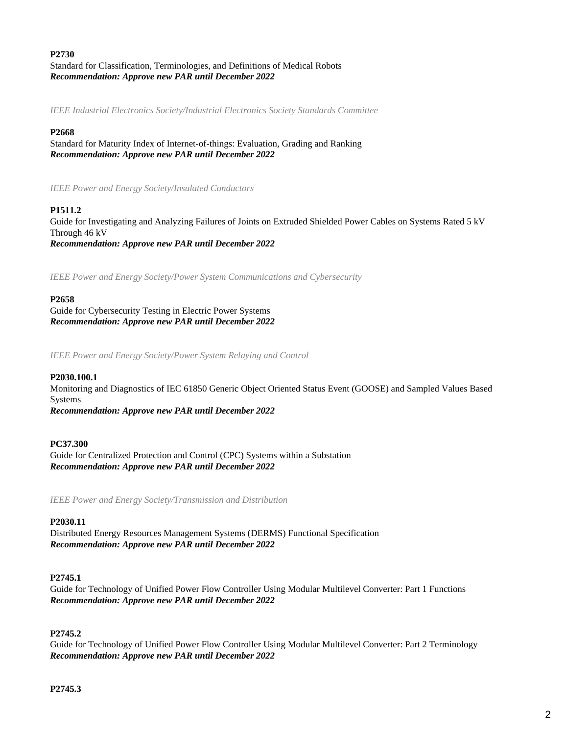# **P2730** Standard for Classification, Terminologies, and Definitions of Medical Robots *Recommendation: Approve new PAR until December 2022*

*IEEE Industrial Electronics Society/Industrial Electronics Society Standards Committee*

## **P2668**

Standard for Maturity Index of Internet-of-things: Evaluation, Grading and Ranking *Recommendation: Approve new PAR until December 2022*

*IEEE Power and Energy Society/Insulated Conductors*

# **P1511.2**

Guide for Investigating and Analyzing Failures of Joints on Extruded Shielded Power Cables on Systems Rated 5 kV Through 46 kV *Recommendation: Approve new PAR until December 2022*

*IEEE Power and Energy Society/Power System Communications and Cybersecurity*

## **P2658**

Guide for Cybersecurity Testing in Electric Power Systems *Recommendation: Approve new PAR until December 2022*

*IEEE Power and Energy Society/Power System Relaying and Control*

## **P2030.100.1**

Monitoring and Diagnostics of IEC 61850 Generic Object Oriented Status Event (GOOSE) and Sampled Values Based Systems *Recommendation: Approve new PAR until December 2022*

## **PC37.300**

Guide for Centralized Protection and Control (CPC) Systems within a Substation *Recommendation: Approve new PAR until December 2022*

*IEEE Power and Energy Society/Transmission and Distribution*

## **P2030.11**

Distributed Energy Resources Management Systems (DERMS) Functional Specification *Recommendation: Approve new PAR until December 2022*

## **P2745.1**

Guide for Technology of Unified Power Flow Controller Using Modular Multilevel Converter: Part 1 Functions *Recommendation: Approve new PAR until December 2022*

## **P2745.2**

Guide for Technology of Unified Power Flow Controller Using Modular Multilevel Converter: Part 2 Terminology *Recommendation: Approve new PAR until December 2022*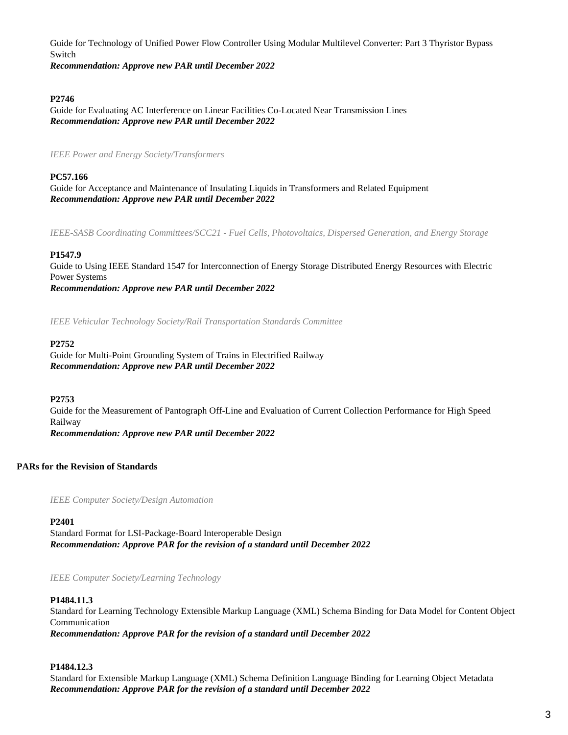Guide for Technology of Unified Power Flow Controller Using Modular Multilevel Converter: Part 3 Thyristor Bypass Switch

*Recommendation: Approve new PAR until December 2022*

# **P2746**

Guide for Evaluating AC Interference on Linear Facilities Co-Located Near Transmission Lines *Recommendation: Approve new PAR until December 2022*

*IEEE Power and Energy Society/Transformers*

## **PC57.166**

Guide for Acceptance and Maintenance of Insulating Liquids in Transformers and Related Equipment *Recommendation: Approve new PAR until December 2022*

*IEEE-SASB Coordinating Committees/SCC21 - Fuel Cells, Photovoltaics, Dispersed Generation, and Energy Storage*

## **P1547.9**

Guide to Using IEEE Standard 1547 for Interconnection of Energy Storage Distributed Energy Resources with Electric Power Systems *Recommendation: Approve new PAR until December 2022*

*IEEE Vehicular Technology Society/Rail Transportation Standards Committee*

#### **P2752**

Guide for Multi-Point Grounding System of Trains in Electrified Railway *Recommendation: Approve new PAR until December 2022*

#### **P2753**

Guide for the Measurement of Pantograph Off-Line and Evaluation of Current Collection Performance for High Speed Railway *Recommendation: Approve new PAR until December 2022*

## **PARs for the Revision of Standards**

*IEEE Computer Society/Design Automation*

**P2401**

Standard Format for LSI-Package-Board Interoperable Design *Recommendation: Approve PAR for the revision of a standard until December 2022*

*IEEE Computer Society/Learning Technology*

#### **P1484.11.3**

Standard for Learning Technology Extensible Markup Language (XML) Schema Binding for Data Model for Content Object Communication

*Recommendation: Approve PAR for the revision of a standard until December 2022*

# **P1484.12.3**

Standard for Extensible Markup Language (XML) Schema Definition Language Binding for Learning Object Metadata *Recommendation: Approve PAR for the revision of a standard until December 2022*